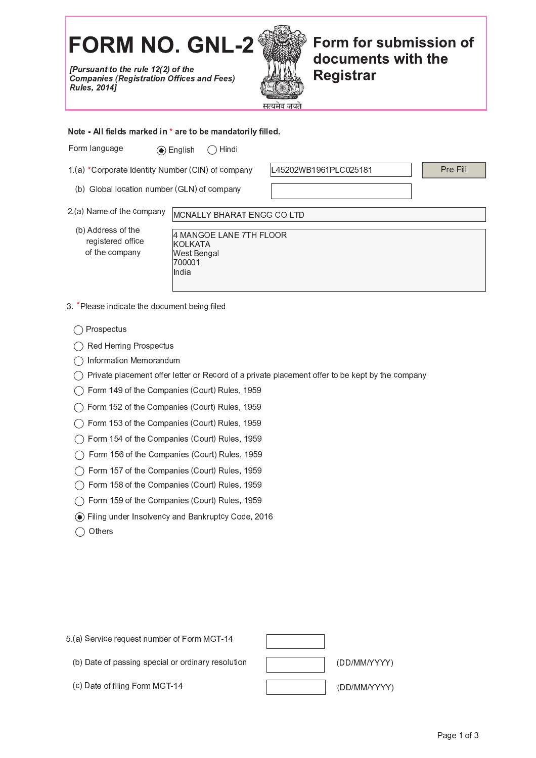## **FORM NO. GNL-2**

[Pursuant to the rule 12(2) of the **Companies (Registration Offices and Fees) Rules, 2014]** 



Form for submission of documents with the **Registrar** 

Note - All fields marked in \* are to be mandatorily filled.

Form language  $\odot$  English  $\bigcap$  Hindi

1.(a) \*Corporate Identity Number (CIN) of company

(b) Global location number (GLN) of company

L45202WB1961PLC025181

Pre-Fill

- 2.(a) Name of the company MCNALLY BHARAT ENGG CO LTD
	- (b) Address of the registered office of the company

4 MANGOE LANE 7TH FLOOR **KOLKATA West Bengal** 700001 India

3. \*Please indicate the document being filed

 $\bigcap$  Prospectus

◯ Red Herring Prospectus

- $\bigcap$  Information Memorandum
- $\bigcirc$  Private placement offer letter or Record of a private placement offer to be kept by the company
- ◯ Form 149 of the Companies (Court) Rules, 1959
- ◯ Form 152 of the Companies (Court) Rules, 1959
- ◯ Form 153 of the Companies (Court) Rules, 1959
- ◯ Form 154 of the Companies (Court) Rules, 1959
- ◯ Form 156 of the Companies (Court) Rules, 1959
- ◯ Form 157 of the Companies (Court) Rules, 1959
- ◯ Form 158 of the Companies (Court) Rules, 1959
- ◯ Form 159 of the Companies (Court) Rules, 1959
- ⊙ Filing under Insolvency and Bankruptcy Code, 2016
- $\bigcirc$  Others

5 (a) Service request number of Form MGT-14



- (b) Date of passing special or ordinary resolution
- (c) Date of filing Form MGT-14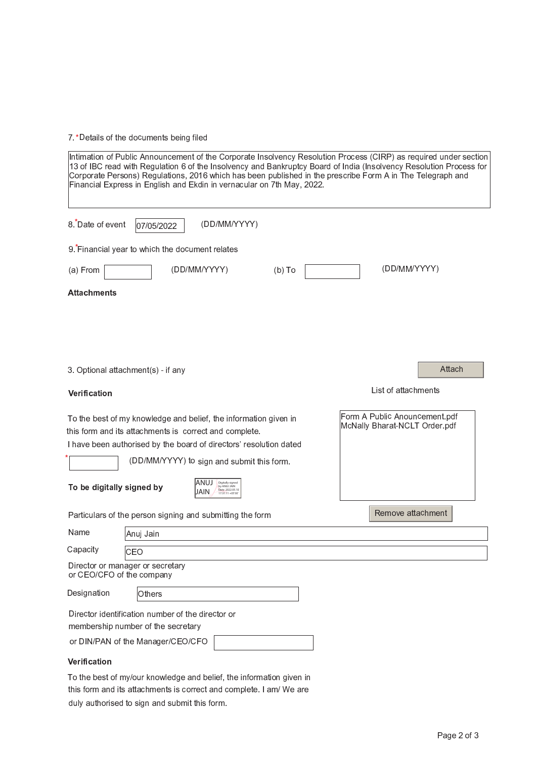7.\* Details of the documents being filed

| Intimation of Public Announcement of the Corporate Insolvency Resolution Process (CIRP) as required under section<br>13 of IBC read with Regulation 6 of the Insolvency and Bankruptcy Board of India (Insolvency Resolution Process for<br>Corporate Persons) Regulations, 2016 which has been published in the prescribe Form A in The Telegraph and<br>Financial Express in English and Ekdin in vernacular on 7th May, 2022. |                                                                |  |
|----------------------------------------------------------------------------------------------------------------------------------------------------------------------------------------------------------------------------------------------------------------------------------------------------------------------------------------------------------------------------------------------------------------------------------|----------------------------------------------------------------|--|
| 8. Date of event<br>(DD/MM/YYYY)<br>07/05/2022                                                                                                                                                                                                                                                                                                                                                                                   |                                                                |  |
| 9. Financial year to which the document relates                                                                                                                                                                                                                                                                                                                                                                                  |                                                                |  |
| (DD/MM/YYYY)<br>(a) From<br>$(b)$ To                                                                                                                                                                                                                                                                                                                                                                                             | (DD/MM/YYYY)                                                   |  |
| <b>Attachments</b>                                                                                                                                                                                                                                                                                                                                                                                                               |                                                                |  |
|                                                                                                                                                                                                                                                                                                                                                                                                                                  |                                                                |  |
|                                                                                                                                                                                                                                                                                                                                                                                                                                  |                                                                |  |
| 3. Optional attachment(s) - if any                                                                                                                                                                                                                                                                                                                                                                                               | Attach                                                         |  |
| Verification                                                                                                                                                                                                                                                                                                                                                                                                                     | List of attachments                                            |  |
| To the best of my knowledge and belief, the information given in<br>this form and its attachments is correct and complete.<br>I have been authorised by the board of directors' resolution dated                                                                                                                                                                                                                                 | Form A Public Anouncement pdf<br>McNally Bharat-NCLT Order pdf |  |
| (DD/MM/YYYY) to sign and submit this form.<br>ANUJ<br>To be digitally signed by<br>by ANUJ JAIN<br>Date: 2022.05.10<br>JAIN<br>$17:31:11 + 05'30'$                                                                                                                                                                                                                                                                               |                                                                |  |
| Particulars of the person signing and submitting the form                                                                                                                                                                                                                                                                                                                                                                        | Remove attachment                                              |  |
| Name<br>Anuj Jain                                                                                                                                                                                                                                                                                                                                                                                                                |                                                                |  |
| Capacity<br>CEO                                                                                                                                                                                                                                                                                                                                                                                                                  |                                                                |  |
| Director or manager or secretary<br>or CEO/CFO of the company                                                                                                                                                                                                                                                                                                                                                                    |                                                                |  |
| Designation<br>Others                                                                                                                                                                                                                                                                                                                                                                                                            |                                                                |  |
| Director identification number of the director or<br>membership number of the secretary<br>or DIN/PAN of the Manager/CEO/CFO                                                                                                                                                                                                                                                                                                     |                                                                |  |
| Verification                                                                                                                                                                                                                                                                                                                                                                                                                     |                                                                |  |

To the best of my/our knowledge and belief, the information given in this form and its attachments is correct and complete. I am/ We are duly authorised to sign and submit this form.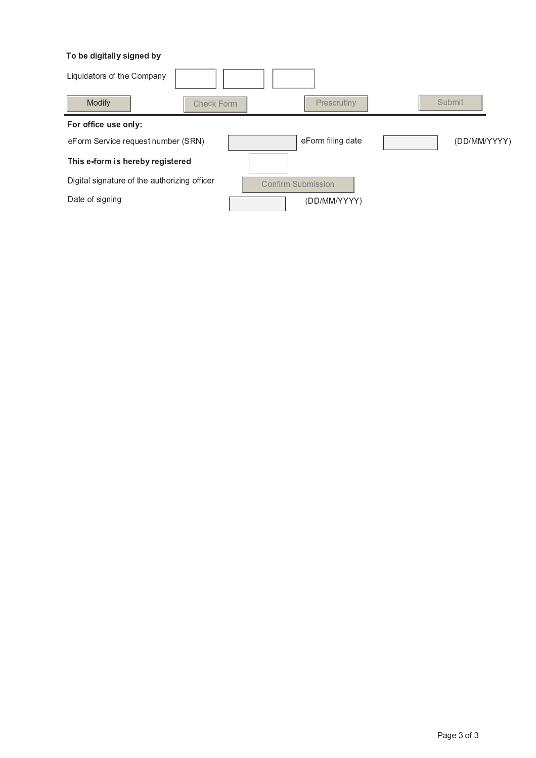## To be digitally signed by

| Liquidators of the Company                   |                    |                   |              |
|----------------------------------------------|--------------------|-------------------|--------------|
| Modify<br>Check Form                         |                    | Prescrutiny       | Submit       |
| For office use only:                         |                    |                   |              |
| eForm Service request number (SRN)           |                    | eForm filing date | (DD/MM/YYYY) |
| This e-form is hereby registered             |                    |                   |              |
| Digital signature of the authorizing officer | Confirm Submission |                   |              |
| Date of signing                              |                    | (DD/MM/YYYY)      |              |